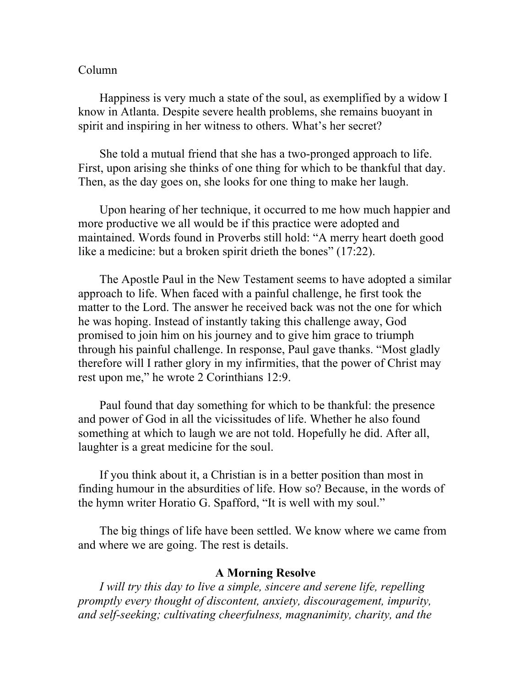## Column

Happiness is very much a state of the soul, as exemplified by a widow I know in Atlanta. Despite severe health problems, she remains buoyant in spirit and inspiring in her witness to others. What's her secret?

She told a mutual friend that she has a two-pronged approach to life. First, upon arising she thinks of one thing for which to be thankful that day. Then, as the day goes on, she looks for one thing to make her laugh.

Upon hearing of her technique, it occurred to me how much happier and more productive we all would be if this practice were adopted and maintained. Words found in Proverbs still hold: "A merry heart doeth good like a medicine: but a broken spirit drieth the bones" (17:22).

The Apostle Paul in the New Testament seems to have adopted a similar approach to life. When faced with a painful challenge, he first took the matter to the Lord. The answer he received back was not the one for which he was hoping. Instead of instantly taking this challenge away, God promised to join him on his journey and to give him grace to triumph through his painful challenge. In response, Paul gave thanks. "Most gladly therefore will I rather glory in my infirmities, that the power of Christ may rest upon me," he wrote 2 Corinthians 12:9.

Paul found that day something for which to be thankful: the presence and power of God in all the vicissitudes of life. Whether he also found something at which to laugh we are not told. Hopefully he did. After all, laughter is a great medicine for the soul.

If you think about it, a Christian is in a better position than most in finding humour in the absurdities of life. How so? Because, in the words of the hymn writer Horatio G. Spafford, "It is well with my soul."

The big things of life have been settled. We know where we came from and where we are going. The rest is details.

## **A Morning Resolve**

*I will try this day to live a simple, sincere and serene life, repelling promptly every thought of discontent, anxiety, discouragement, impurity, and self-seeking; cultivating cheerfulness, magnanimity, charity, and the*